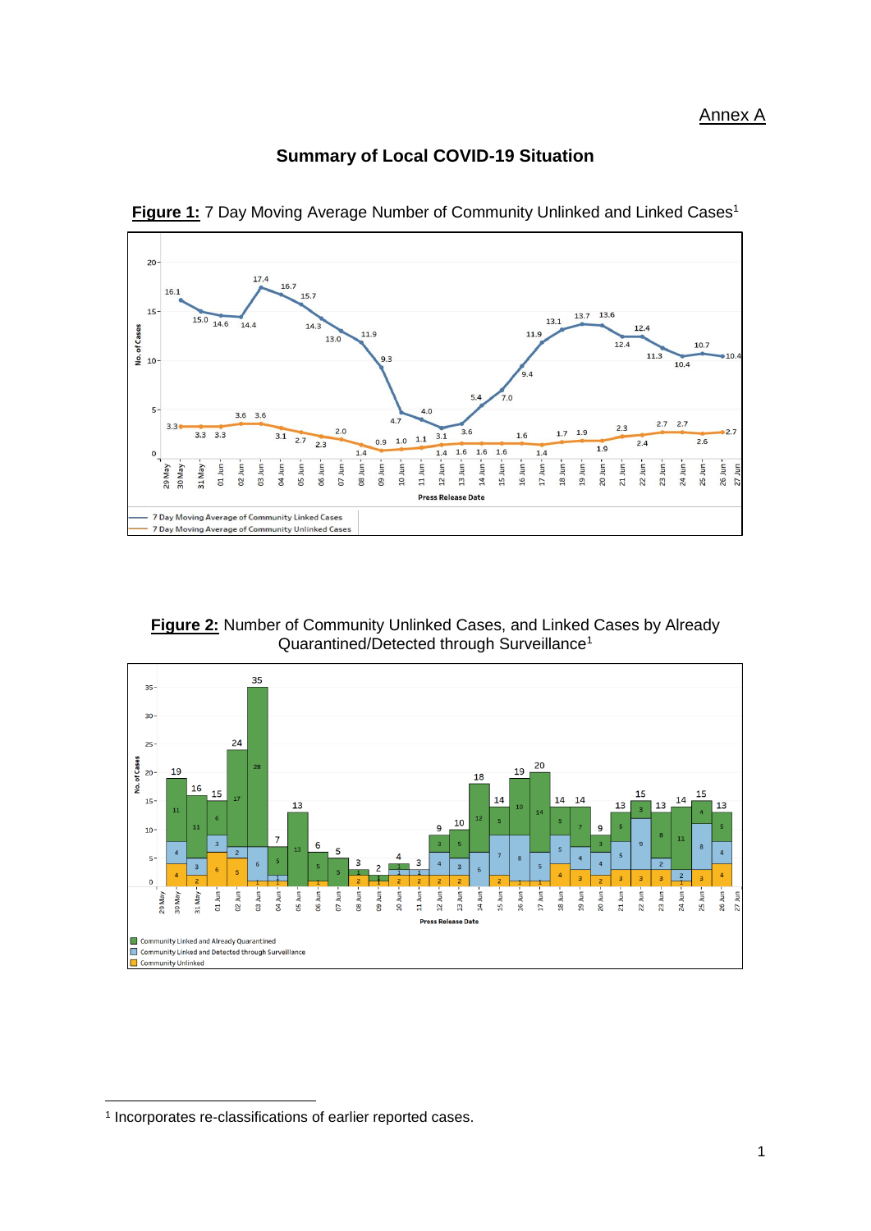### **Summary of Local COVID-19 Situation**



**Figure 1:** 7 Day Moving Average Number of Community Unlinked and Linked Cases<sup>1</sup>

**Figure 2:** Number of Community Unlinked Cases, and Linked Cases by Already Quarantined/Detected through Surveillance<sup>1</sup>



**.** 

<sup>1</sup> Incorporates re-classifications of earlier reported cases.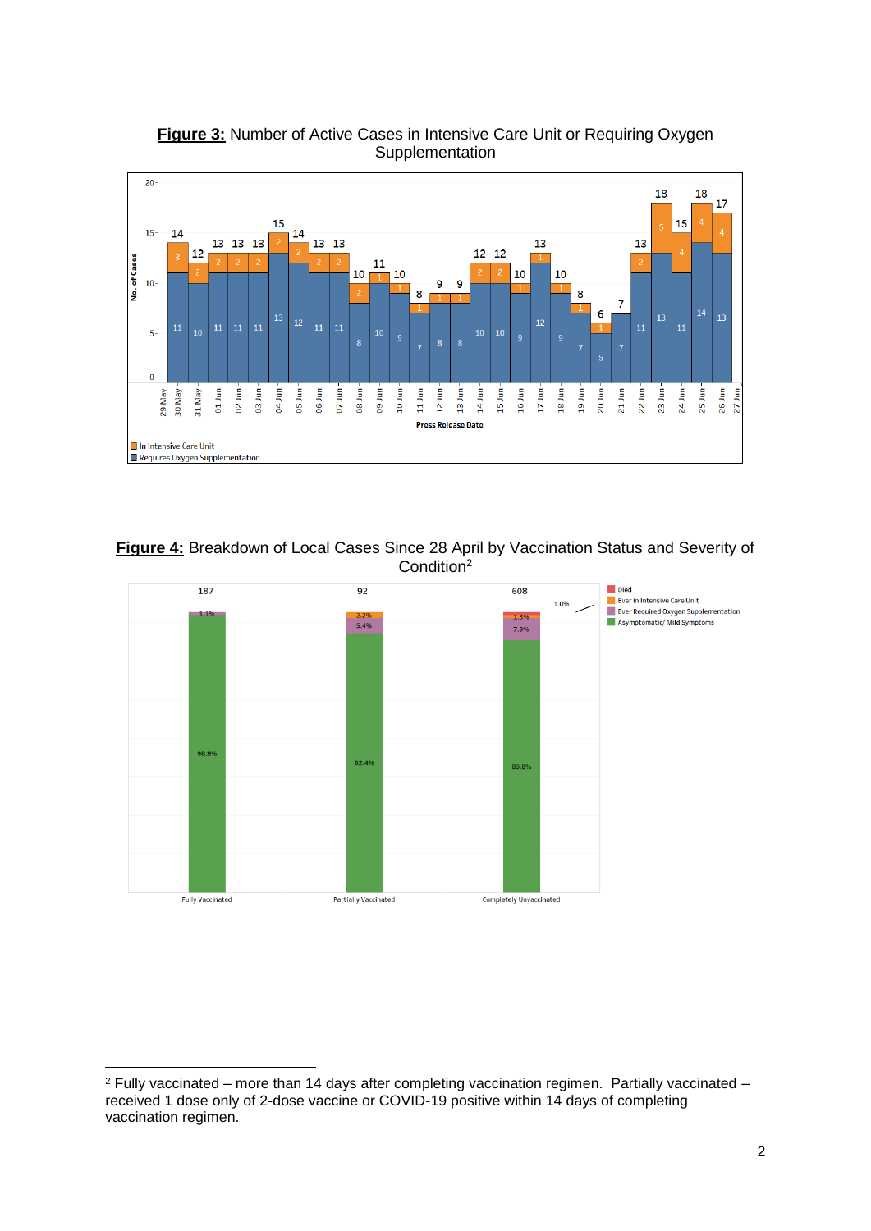

**Figure 3:** Number of Active Cases in Intensive Care Unit or Requiring Oxygen **Supplementation** 





<sup>1</sup>  $2$  Fully vaccinated – more than 14 days after completing vaccination regimen. Partially vaccinated – received 1 dose only of 2-dose vaccine or COVID-19 positive within 14 days of completing vaccination regimen.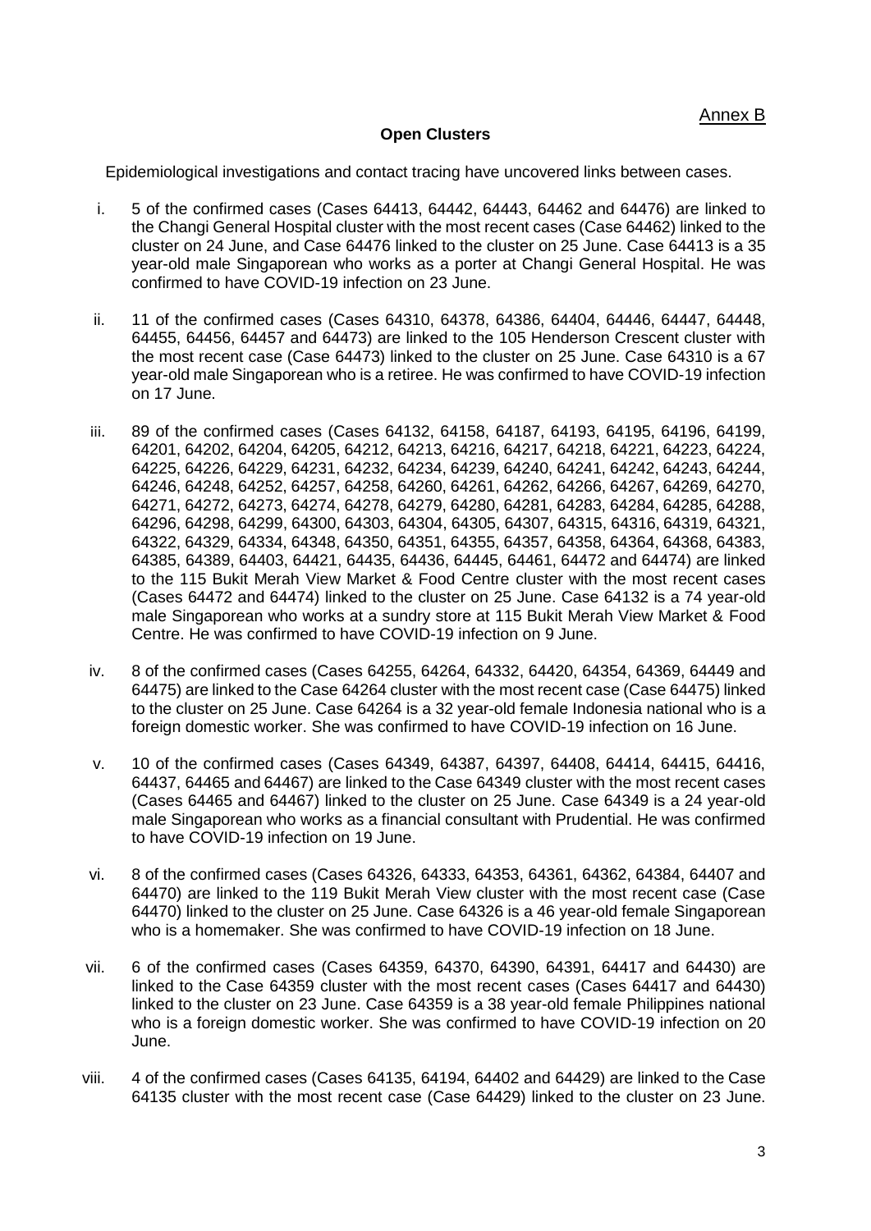#### **Open Clusters**

Epidemiological investigations and contact tracing have uncovered links between cases.

- i. 5 of the confirmed cases (Cases 64413, 64442, 64443, 64462 and 64476) are linked to the Changi General Hospital cluster with the most recent cases (Case 64462) linked to the cluster on 24 June, and Case 64476 linked to the cluster on 25 June. Case 64413 is a 35 year-old male Singaporean who works as a porter at Changi General Hospital. He was confirmed to have COVID-19 infection on 23 June.
- ii. 11 of the confirmed cases (Cases 64310, 64378, 64386, 64404, 64446, 64447, 64448, 64455, 64456, 64457 and 64473) are linked to the 105 Henderson Crescent cluster with the most recent case (Case 64473) linked to the cluster on 25 June. Case 64310 is a 67 year-old male Singaporean who is a retiree. He was confirmed to have COVID-19 infection on 17 June.
- iii. 89 of the confirmed cases (Cases 64132, 64158, 64187, 64193, 64195, 64196, 64199, 64201, 64202, 64204, 64205, 64212, 64213, 64216, 64217, 64218, 64221, 64223, 64224, 64225, 64226, 64229, 64231, 64232, 64234, 64239, 64240, 64241, 64242, 64243, 64244, 64246, 64248, 64252, 64257, 64258, 64260, 64261, 64262, 64266, 64267, 64269, 64270, 64271, 64272, 64273, 64274, 64278, 64279, 64280, 64281, 64283, 64284, 64285, 64288, 64296, 64298, 64299, 64300, 64303, 64304, 64305, 64307, 64315, 64316, 64319, 64321, 64322, 64329, 64334, 64348, 64350, 64351, 64355, 64357, 64358, 64364, 64368, 64383, 64385, 64389, 64403, 64421, 64435, 64436, 64445, 64461, 64472 and 64474) are linked to the 115 Bukit Merah View Market & Food Centre cluster with the most recent cases (Cases 64472 and 64474) linked to the cluster on 25 June. Case 64132 is a 74 year-old male Singaporean who works at a sundry store at 115 Bukit Merah View Market & Food Centre. He was confirmed to have COVID-19 infection on 9 June.
- iv. 8 of the confirmed cases (Cases 64255, 64264, 64332, 64420, 64354, 64369, 64449 and 64475) are linked to the Case 64264 cluster with the most recent case (Case 64475) linked to the cluster on 25 June. Case 64264 is a 32 year-old female Indonesia national who is a foreign domestic worker. She was confirmed to have COVID-19 infection on 16 June.
- v. 10 of the confirmed cases (Cases 64349, 64387, 64397, 64408, 64414, 64415, 64416, 64437, 64465 and 64467) are linked to the Case 64349 cluster with the most recent cases (Cases 64465 and 64467) linked to the cluster on 25 June. Case 64349 is a 24 year-old male Singaporean who works as a financial consultant with Prudential. He was confirmed to have COVID-19 infection on 19 June.
- vi. 8 of the confirmed cases (Cases 64326, 64333, 64353, 64361, 64362, 64384, 64407 and 64470) are linked to the 119 Bukit Merah View cluster with the most recent case (Case 64470) linked to the cluster on 25 June. Case 64326 is a 46 year-old female Singaporean who is a homemaker. She was confirmed to have COVID-19 infection on 18 June.
- vii. 6 of the confirmed cases (Cases 64359, 64370, 64390, 64391, 64417 and 64430) are linked to the Case 64359 cluster with the most recent cases (Cases 64417 and 64430) linked to the cluster on 23 June. Case 64359 is a 38 year-old female Philippines national who is a foreign domestic worker. She was confirmed to have COVID-19 infection on 20 June.
- viii. 4 of the confirmed cases (Cases 64135, 64194, 64402 and 64429) are linked to the Case 64135 cluster with the most recent case (Case 64429) linked to the cluster on 23 June.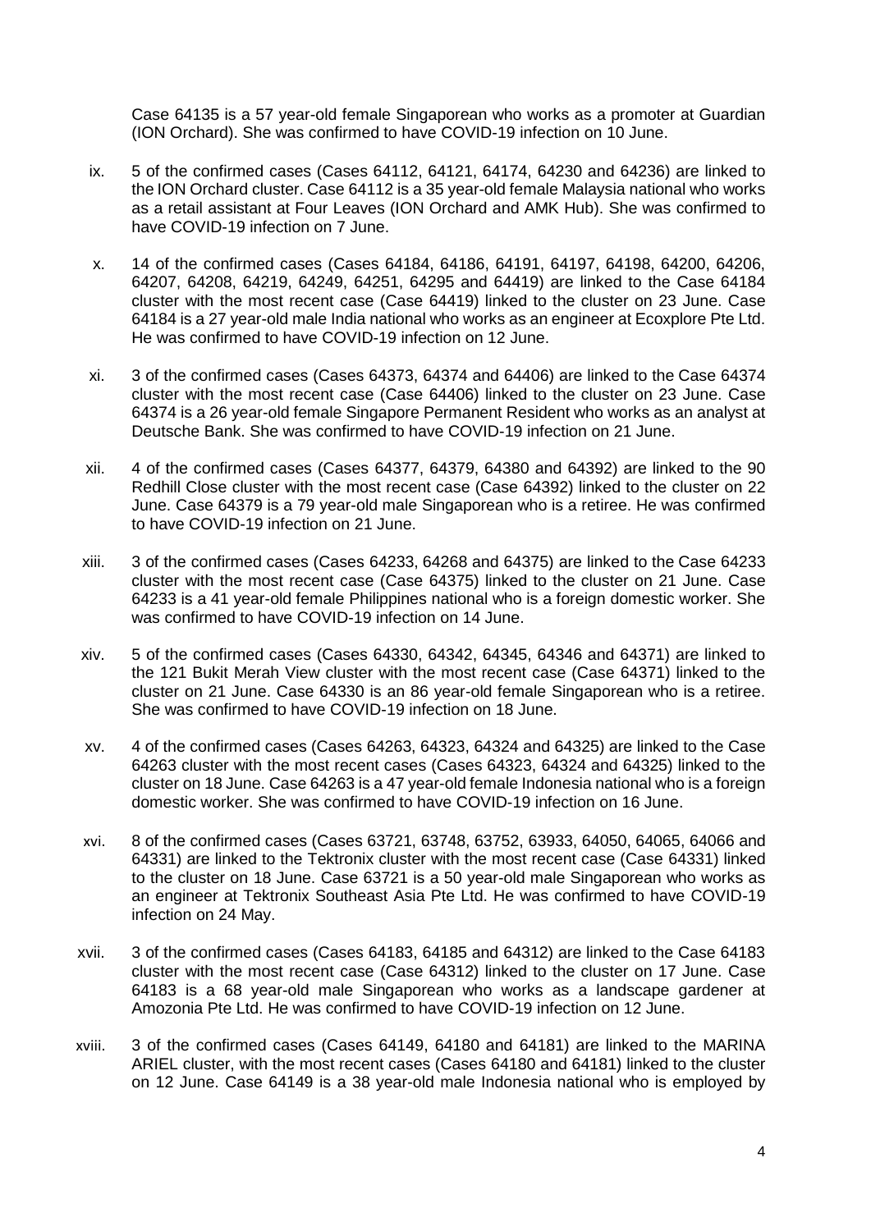Case 64135 is a 57 year-old female Singaporean who works as a promoter at Guardian (ION Orchard). She was confirmed to have COVID-19 infection on 10 June.

- ix. 5 of the confirmed cases (Cases 64112, 64121, 64174, 64230 and 64236) are linked to the ION Orchard cluster. Case 64112 is a 35 year-old female Malaysia national who works as a retail assistant at Four Leaves (ION Orchard and AMK Hub). She was confirmed to have COVID-19 infection on 7 June.
- x. 14 of the confirmed cases (Cases 64184, 64186, 64191, 64197, 64198, 64200, 64206, 64207, 64208, 64219, 64249, 64251, 64295 and 64419) are linked to the Case 64184 cluster with the most recent case (Case 64419) linked to the cluster on 23 June. Case 64184 is a 27 year-old male India national who works as an engineer at Ecoxplore Pte Ltd. He was confirmed to have COVID-19 infection on 12 June.
- xi. 3 of the confirmed cases (Cases 64373, 64374 and 64406) are linked to the Case 64374 cluster with the most recent case (Case 64406) linked to the cluster on 23 June. Case 64374 is a 26 year-old female Singapore Permanent Resident who works as an analyst at Deutsche Bank. She was confirmed to have COVID-19 infection on 21 June.
- xii. 4 of the confirmed cases (Cases 64377, 64379, 64380 and 64392) are linked to the 90 Redhill Close cluster with the most recent case (Case 64392) linked to the cluster on 22 June. Case 64379 is a 79 year-old male Singaporean who is a retiree. He was confirmed to have COVID-19 infection on 21 June.
- xiii. 3 of the confirmed cases (Cases 64233, 64268 and 64375) are linked to the Case 64233 cluster with the most recent case (Case 64375) linked to the cluster on 21 June. Case 64233 is a 41 year-old female Philippines national who is a foreign domestic worker. She was confirmed to have COVID-19 infection on 14 June.
- xiv. 5 of the confirmed cases (Cases 64330, 64342, 64345, 64346 and 64371) are linked to the 121 Bukit Merah View cluster with the most recent case (Case 64371) linked to the cluster on 21 June. Case 64330 is an 86 year-old female Singaporean who is a retiree. She was confirmed to have COVID-19 infection on 18 June.
- xv. 4 of the confirmed cases (Cases 64263, 64323, 64324 and 64325) are linked to the Case 64263 cluster with the most recent cases (Cases 64323, 64324 and 64325) linked to the cluster on 18 June. Case 64263 is a 47 year-old female Indonesia national who is a foreign domestic worker. She was confirmed to have COVID-19 infection on 16 June.
- xvi. 8 of the confirmed cases (Cases 63721, 63748, 63752, 63933, 64050, 64065, 64066 and 64331) are linked to the Tektronix cluster with the most recent case (Case 64331) linked to the cluster on 18 June. Case 63721 is a 50 year-old male Singaporean who works as an engineer at Tektronix Southeast Asia Pte Ltd. He was confirmed to have COVID-19 infection on 24 May.
- xvii. 3 of the confirmed cases (Cases 64183, 64185 and 64312) are linked to the Case 64183 cluster with the most recent case (Case 64312) linked to the cluster on 17 June. Case 64183 is a 68 year-old male Singaporean who works as a landscape gardener at Amozonia Pte Ltd. He was confirmed to have COVID-19 infection on 12 June.
- xviii. 3 of the confirmed cases (Cases 64149, 64180 and 64181) are linked to the MARINA ARIEL cluster, with the most recent cases (Cases 64180 and 64181) linked to the cluster on 12 June. Case 64149 is a 38 year-old male Indonesia national who is employed by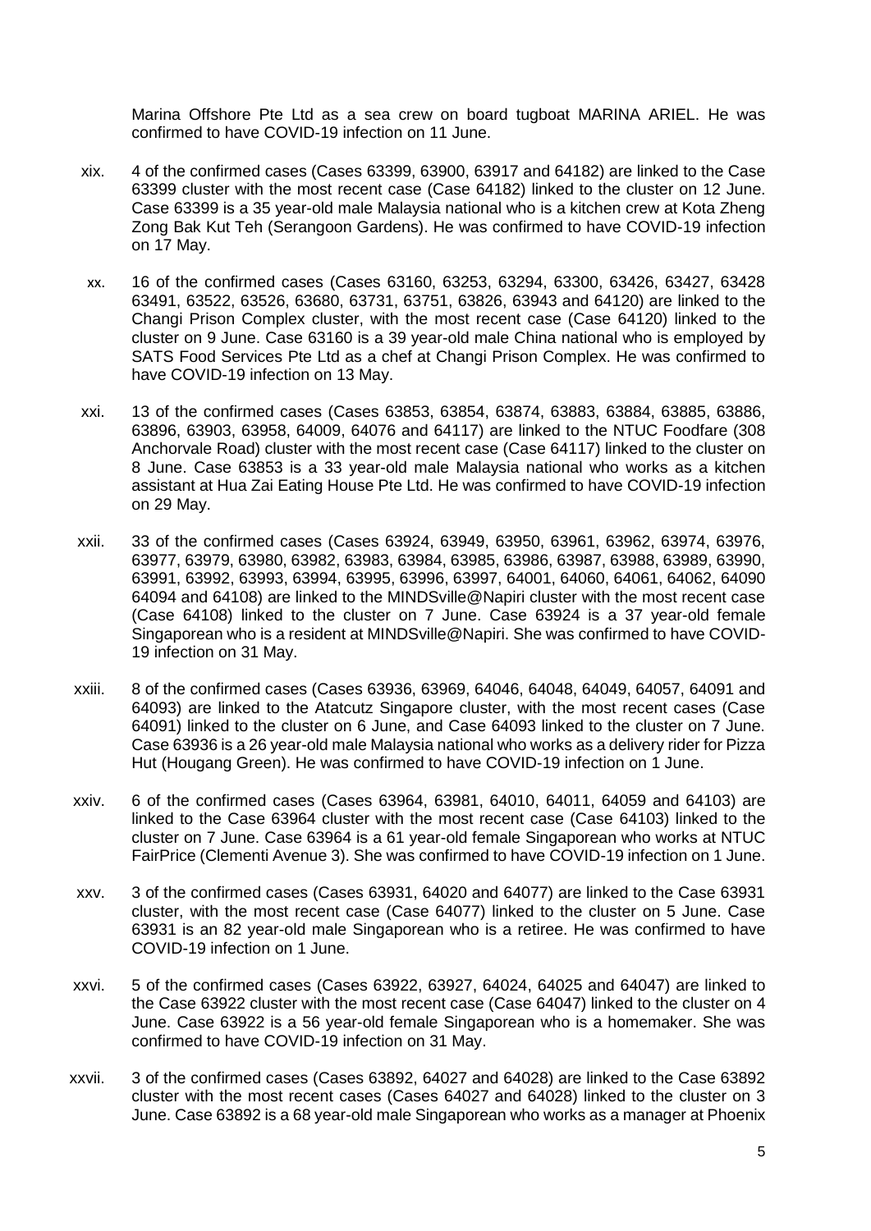Marina Offshore Pte Ltd as a sea crew on board tugboat MARINA ARIEL. He was confirmed to have COVID-19 infection on 11 June.

- xix. 4 of the confirmed cases (Cases 63399, 63900, 63917 and 64182) are linked to the Case 63399 cluster with the most recent case (Case 64182) linked to the cluster on 12 June. Case 63399 is a 35 year-old male Malaysia national who is a kitchen crew at Kota Zheng Zong Bak Kut Teh (Serangoon Gardens). He was confirmed to have COVID-19 infection on 17 May.
- xx. 16 of the confirmed cases (Cases 63160, 63253, 63294, 63300, 63426, 63427, 63428 63491, 63522, 63526, 63680, 63731, 63751, 63826, 63943 and 64120) are linked to the Changi Prison Complex cluster, with the most recent case (Case 64120) linked to the cluster on 9 June. Case 63160 is a 39 year-old male China national who is employed by SATS Food Services Pte Ltd as a chef at Changi Prison Complex. He was confirmed to have COVID-19 infection on 13 May.
- xxi. 13 of the confirmed cases (Cases 63853, 63854, 63874, 63883, 63884, 63885, 63886, 63896, 63903, 63958, 64009, 64076 and 64117) are linked to the NTUC Foodfare (308 Anchorvale Road) cluster with the most recent case (Case 64117) linked to the cluster on 8 June. Case 63853 is a 33 year-old male Malaysia national who works as a kitchen assistant at Hua Zai Eating House Pte Ltd. He was confirmed to have COVID-19 infection on 29 May.
- xxii. 33 of the confirmed cases (Cases 63924, 63949, 63950, 63961, 63962, 63974, 63976, 63977, 63979, 63980, 63982, 63983, 63984, 63985, 63986, 63987, 63988, 63989, 63990, 63991, 63992, 63993, 63994, 63995, 63996, 63997, 64001, 64060, 64061, 64062, 64090 64094 and 64108) are linked to the MINDSville@Napiri cluster with the most recent case (Case 64108) linked to the cluster on 7 June. Case 63924 is a 37 year-old female Singaporean who is a resident at MINDSville@Napiri. She was confirmed to have COVID-19 infection on 31 May.
- xxiii. 8 of the confirmed cases (Cases 63936, 63969, 64046, 64048, 64049, 64057, 64091 and 64093) are linked to the Atatcutz Singapore cluster, with the most recent cases (Case 64091) linked to the cluster on 6 June, and Case 64093 linked to the cluster on 7 June. Case 63936 is a 26 year-old male Malaysia national who works as a delivery rider for Pizza Hut (Hougang Green). He was confirmed to have COVID-19 infection on 1 June.
- xxiv. 6 of the confirmed cases (Cases 63964, 63981, 64010, 64011, 64059 and 64103) are linked to the Case 63964 cluster with the most recent case (Case 64103) linked to the cluster on 7 June. Case 63964 is a 61 year-old female Singaporean who works at NTUC FairPrice (Clementi Avenue 3). She was confirmed to have COVID-19 infection on 1 June.
- xxv. 3 of the confirmed cases (Cases 63931, 64020 and 64077) are linked to the Case 63931 cluster, with the most recent case (Case 64077) linked to the cluster on 5 June. Case 63931 is an 82 year-old male Singaporean who is a retiree. He was confirmed to have COVID-19 infection on 1 June.
- xxvi. 5 of the confirmed cases (Cases 63922, 63927, 64024, 64025 and 64047) are linked to the Case 63922 cluster with the most recent case (Case 64047) linked to the cluster on 4 June. Case 63922 is a 56 year-old female Singaporean who is a homemaker. She was confirmed to have COVID-19 infection on 31 May.
- xxvii. 3 of the confirmed cases (Cases 63892, 64027 and 64028) are linked to the Case 63892 cluster with the most recent cases (Cases 64027 and 64028) linked to the cluster on 3 June. Case 63892 is a 68 year-old male Singaporean who works as a manager at Phoenix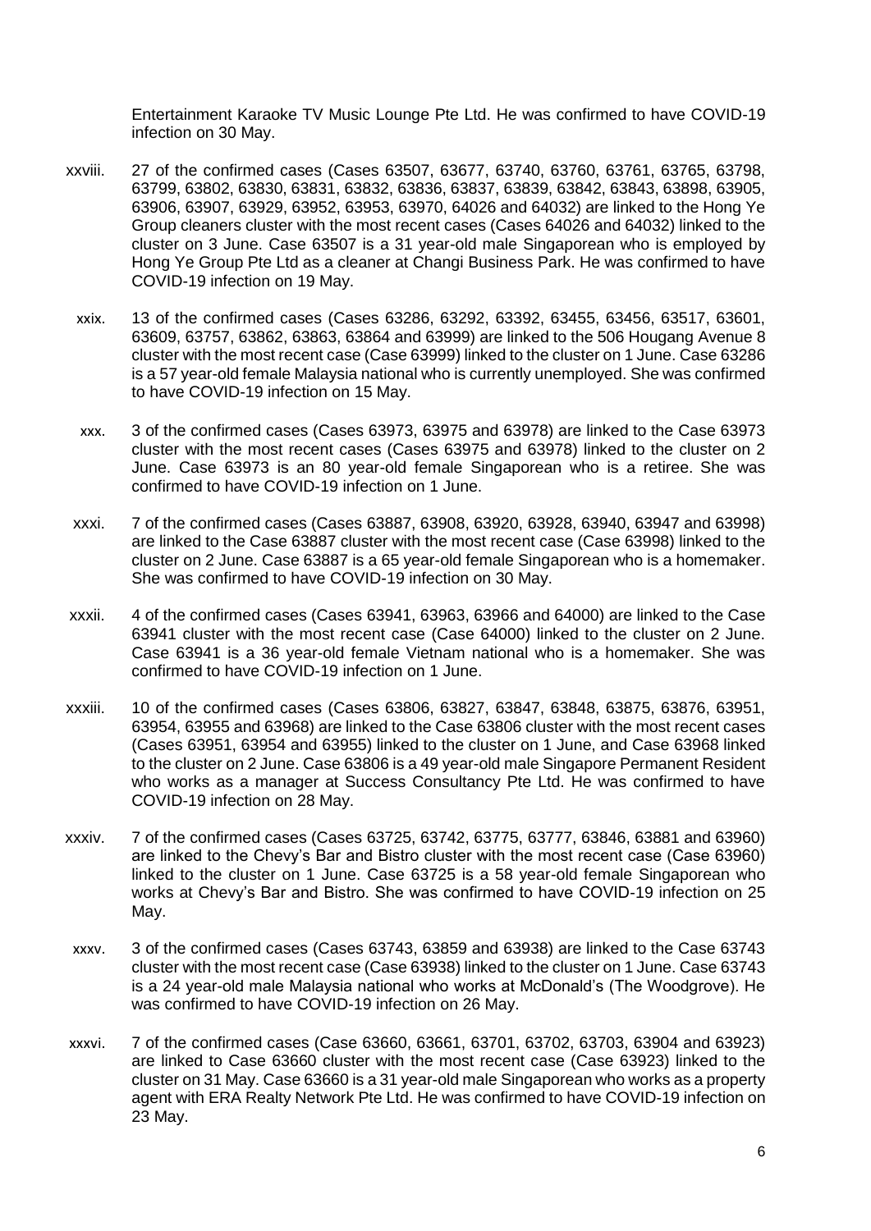Entertainment Karaoke TV Music Lounge Pte Ltd. He was confirmed to have COVID-19 infection on 30 May.

- xxviii. 27 of the confirmed cases (Cases 63507, 63677, 63740, 63760, 63761, 63765, 63798, 63799, 63802, 63830, 63831, 63832, 63836, 63837, 63839, 63842, 63843, 63898, 63905, 63906, 63907, 63929, 63952, 63953, 63970, 64026 and 64032) are linked to the Hong Ye Group cleaners cluster with the most recent cases (Cases 64026 and 64032) linked to the cluster on 3 June. Case 63507 is a 31 year-old male Singaporean who is employed by Hong Ye Group Pte Ltd as a cleaner at Changi Business Park. He was confirmed to have COVID-19 infection on 19 May.
	- xxix. 13 of the confirmed cases (Cases 63286, 63292, 63392, 63455, 63456, 63517, 63601, 63609, 63757, 63862, 63863, 63864 and 63999) are linked to the 506 Hougang Avenue 8 cluster with the most recent case (Case 63999) linked to the cluster on 1 June. Case 63286 is a 57 year-old female Malaysia national who is currently unemployed. She was confirmed to have COVID-19 infection on 15 May.
	- xxx. 3 of the confirmed cases (Cases 63973, 63975 and 63978) are linked to the Case 63973 cluster with the most recent cases (Cases 63975 and 63978) linked to the cluster on 2 June. Case 63973 is an 80 year-old female Singaporean who is a retiree. She was confirmed to have COVID-19 infection on 1 June.
- xxxi. 7 of the confirmed cases (Cases 63887, 63908, 63920, 63928, 63940, 63947 and 63998) are linked to the Case 63887 cluster with the most recent case (Case 63998) linked to the cluster on 2 June. Case 63887 is a 65 year-old female Singaporean who is a homemaker. She was confirmed to have COVID-19 infection on 30 May.
- xxxii. 4 of the confirmed cases (Cases 63941, 63963, 63966 and 64000) are linked to the Case 63941 cluster with the most recent case (Case 64000) linked to the cluster on 2 June. Case 63941 is a 36 year-old female Vietnam national who is a homemaker. She was confirmed to have COVID-19 infection on 1 June.
- xxxiii. 10 of the confirmed cases (Cases 63806, 63827, 63847, 63848, 63875, 63876, 63951, 63954, 63955 and 63968) are linked to the Case 63806 cluster with the most recent cases (Cases 63951, 63954 and 63955) linked to the cluster on 1 June, and Case 63968 linked to the cluster on 2 June. Case 63806 is a 49 year-old male Singapore Permanent Resident who works as a manager at Success Consultancy Pte Ltd. He was confirmed to have COVID-19 infection on 28 May.
- xxxiv. 7 of the confirmed cases (Cases 63725, 63742, 63775, 63777, 63846, 63881 and 63960) are linked to the Chevy's Bar and Bistro cluster with the most recent case (Case 63960) linked to the cluster on 1 June. Case 63725 is a 58 year-old female Singaporean who works at Chevy's Bar and Bistro. She was confirmed to have COVID-19 infection on 25 May.
- xxxv. 3 of the confirmed cases (Cases 63743, 63859 and 63938) are linked to the Case 63743 cluster with the most recent case (Case 63938) linked to the cluster on 1 June. Case 63743 is a 24 year-old male Malaysia national who works at McDonald's (The Woodgrove). He was confirmed to have COVID-19 infection on 26 May.
- xxxvi. 7 of the confirmed cases (Case 63660, 63661, 63701, 63702, 63703, 63904 and 63923) are linked to Case 63660 cluster with the most recent case (Case 63923) linked to the cluster on 31 May. Case 63660 is a 31 year-old male Singaporean who works as a property agent with ERA Realty Network Pte Ltd. He was confirmed to have COVID-19 infection on 23 May.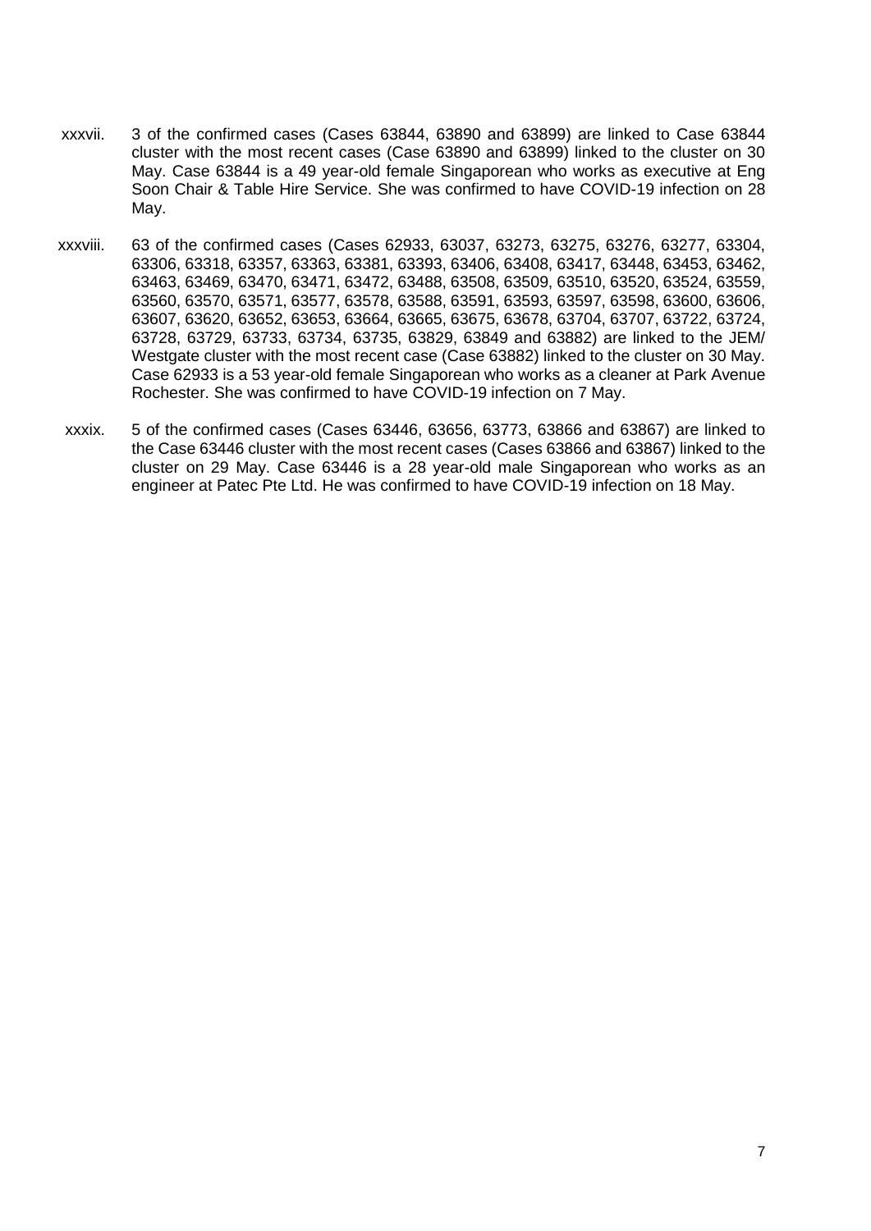- xxxvii. 3 of the confirmed cases (Cases 63844, 63890 and 63899) are linked to Case 63844 cluster with the most recent cases (Case 63890 and 63899) linked to the cluster on 30 May. Case 63844 is a 49 year-old female Singaporean who works as executive at Eng Soon Chair & Table Hire Service. She was confirmed to have COVID-19 infection on 28 May.
- xxxviii. 63 of the confirmed cases (Cases 62933, 63037, 63273, 63275, 63276, 63277, 63304, 63306, 63318, 63357, 63363, 63381, 63393, 63406, 63408, 63417, 63448, 63453, 63462, 63463, 63469, 63470, 63471, 63472, 63488, 63508, 63509, 63510, 63520, 63524, 63559, 63560, 63570, 63571, 63577, 63578, 63588, 63591, 63593, 63597, 63598, 63600, 63606, 63607, 63620, 63652, 63653, 63664, 63665, 63675, 63678, 63704, 63707, 63722, 63724, 63728, 63729, 63733, 63734, 63735, 63829, 63849 and 63882) are linked to the JEM/ Westgate cluster with the most recent case (Case 63882) linked to the cluster on 30 May. Case 62933 is a 53 year-old female Singaporean who works as a cleaner at Park Avenue Rochester. She was confirmed to have COVID-19 infection on 7 May.
- xxxix. 5 of the confirmed cases (Cases 63446, 63656, 63773, 63866 and 63867) are linked to the Case 63446 cluster with the most recent cases (Cases 63866 and 63867) linked to the cluster on 29 May. Case 63446 is a 28 year-old male Singaporean who works as an engineer at Patec Pte Ltd. He was confirmed to have COVID-19 infection on 18 May.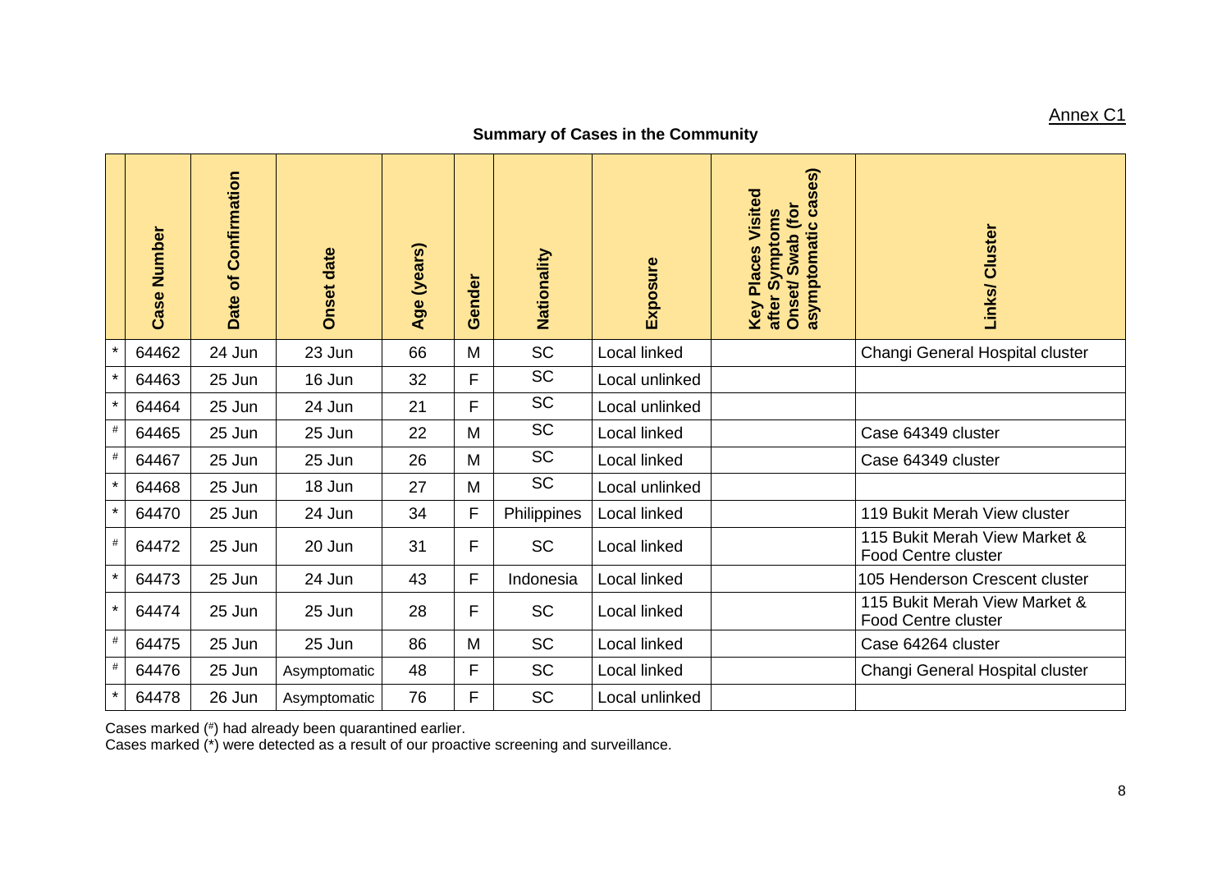### Annex C1

### **Summary of Cases in the Community**

|         | Case Number | Date of Confirmation | <b>Onset date</b> | Age (years) | Gender | Nationality | Exposure            | ses)<br>Key Places Visited<br>asymptomatic ca<br>Onset/Swab (for<br>after Symptoms | Links/ Cluster                                              |
|---------|-------------|----------------------|-------------------|-------------|--------|-------------|---------------------|------------------------------------------------------------------------------------|-------------------------------------------------------------|
| $\star$ | 64462       | 24 Jun               | 23 Jun            | 66          | M      | <b>SC</b>   | Local linked        |                                                                                    | Changi General Hospital cluster                             |
| $\star$ | 64463       | 25 Jun               | 16 Jun            | 32          | F      | <b>SC</b>   | Local unlinked      |                                                                                    |                                                             |
| $\star$ | 64464       | 25 Jun               | 24 Jun            | 21          | F      | <b>SC</b>   | Local unlinked      |                                                                                    |                                                             |
| $\#$    | 64465       | 25 Jun               | 25 Jun            | 22          | M      | <b>SC</b>   | Local linked        |                                                                                    | Case 64349 cluster                                          |
| $\#$    | 64467       | 25 Jun               | 25 Jun            | 26          | M      | <b>SC</b>   | Local linked        |                                                                                    | Case 64349 cluster                                          |
| $\star$ | 64468       | 25 Jun               | 18 Jun            | 27          | M      | <b>SC</b>   | Local unlinked      |                                                                                    |                                                             |
| $\star$ | 64470       | 25 Jun               | 24 Jun            | 34          | F      | Philippines | Local linked        |                                                                                    | 119 Bukit Merah View cluster                                |
| $\#$    | 64472       | 25 Jun               | 20 Jun            | 31          | F      | <b>SC</b>   | Local linked        |                                                                                    | 115 Bukit Merah View Market &<br><b>Food Centre cluster</b> |
| $\star$ | 64473       | 25 Jun               | 24 Jun            | 43          | F      | Indonesia   | Local linked        |                                                                                    | 105 Henderson Crescent cluster                              |
| $\star$ | 64474       | 25 Jun               | 25 Jun            | 28          | F      | <b>SC</b>   | Local linked        |                                                                                    | 115 Bukit Merah View Market &<br><b>Food Centre cluster</b> |
| $\#$    | 64475       | 25 Jun               | 25 Jun            | 86          | M      | <b>SC</b>   | <b>Local linked</b> |                                                                                    | Case 64264 cluster                                          |
| $\#$    | 64476       | 25 Jun               | Asymptomatic      | 48          | F      | <b>SC</b>   | Local linked        |                                                                                    | Changi General Hospital cluster                             |
| $\star$ | 64478       | 26 Jun               | Asymptomatic      | 76          | F      | <b>SC</b>   | Local unlinked      |                                                                                    |                                                             |

Cases marked (# ) had already been quarantined earlier.

Cases marked (\*) were detected as a result of our proactive screening and surveillance.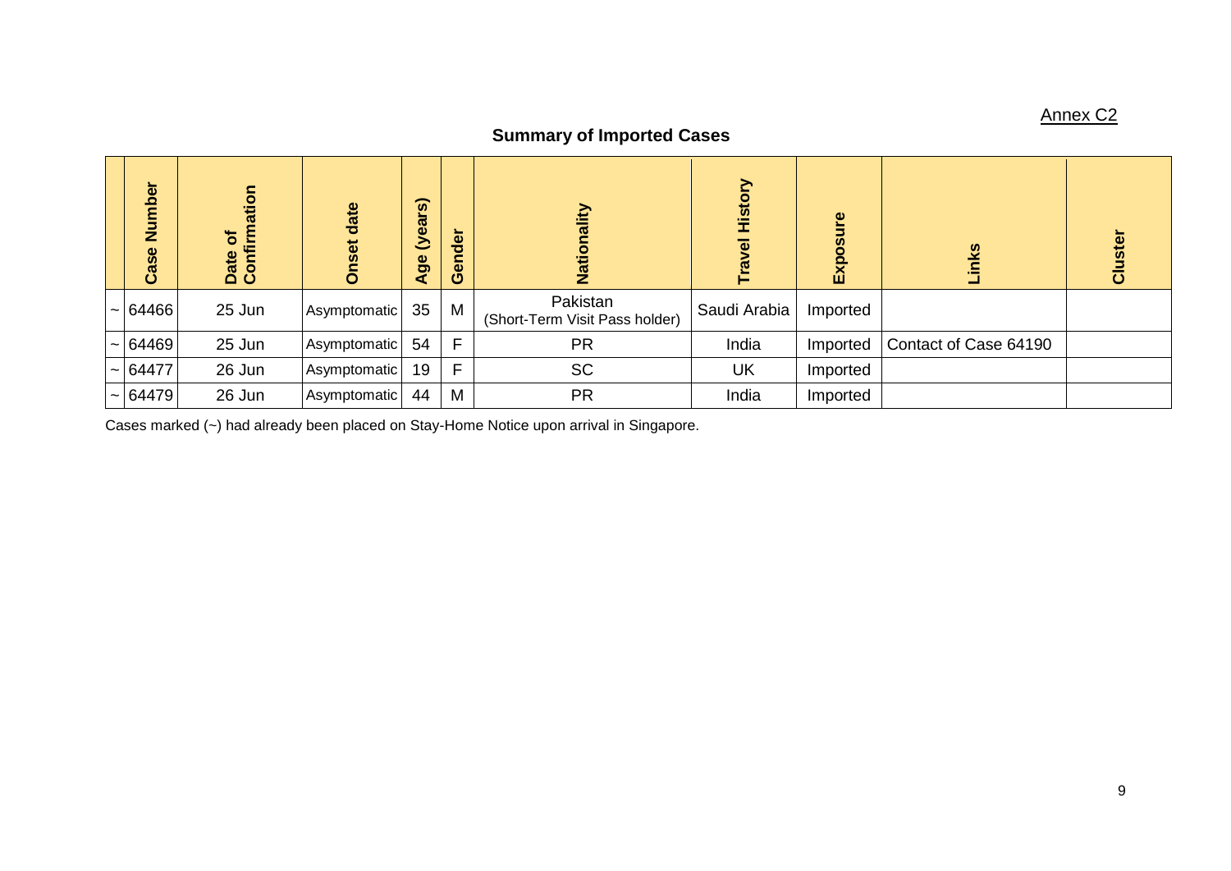# Annex C2

# **Summary of Imported Cases**

| mber<br>z<br>Case | atio<br>৳<br>Date of<br>Confirm | date<br><b>ISet</b> | $\overline{\mathbf{S}}$<br>(yea<br>Age | der<br><b>G</b> | Ě<br>ii<br>Z                               | History<br>$\overline{\mathbf{c}}$<br>ဇ | စ္<br>Õ.<br>$\overline{\mathbf{E}}$ | <u>ଓ</u><br>Ē         | ፬<br>ပ |
|-------------------|---------------------------------|---------------------|----------------------------------------|-----------------|--------------------------------------------|-----------------------------------------|-------------------------------------|-----------------------|--------|
| $\sim$ 64466      | 25 Jun                          | Asymptomatic        | 35                                     | M               | Pakistan<br>(Short-Term Visit Pass holder) | Saudi Arabia                            | Imported                            |                       |        |
| $\sim$ 64469      | 25 Jun                          | Asymptomatic        | 54                                     | F               | <b>PR</b>                                  | India                                   | Imported                            | Contact of Case 64190 |        |
| $\sim$ 64477      | 26 Jun                          | Asymptomatic        | 19                                     | E               | <b>SC</b>                                  | <b>UK</b>                               | Imported                            |                       |        |
| $\sim$ 64479      | 26 Jun                          | Asymptomatic        | 44                                     | M               | <b>PR</b>                                  | India                                   | Imported                            |                       |        |

Cases marked (~) had already been placed on Stay-Home Notice upon arrival in Singapore.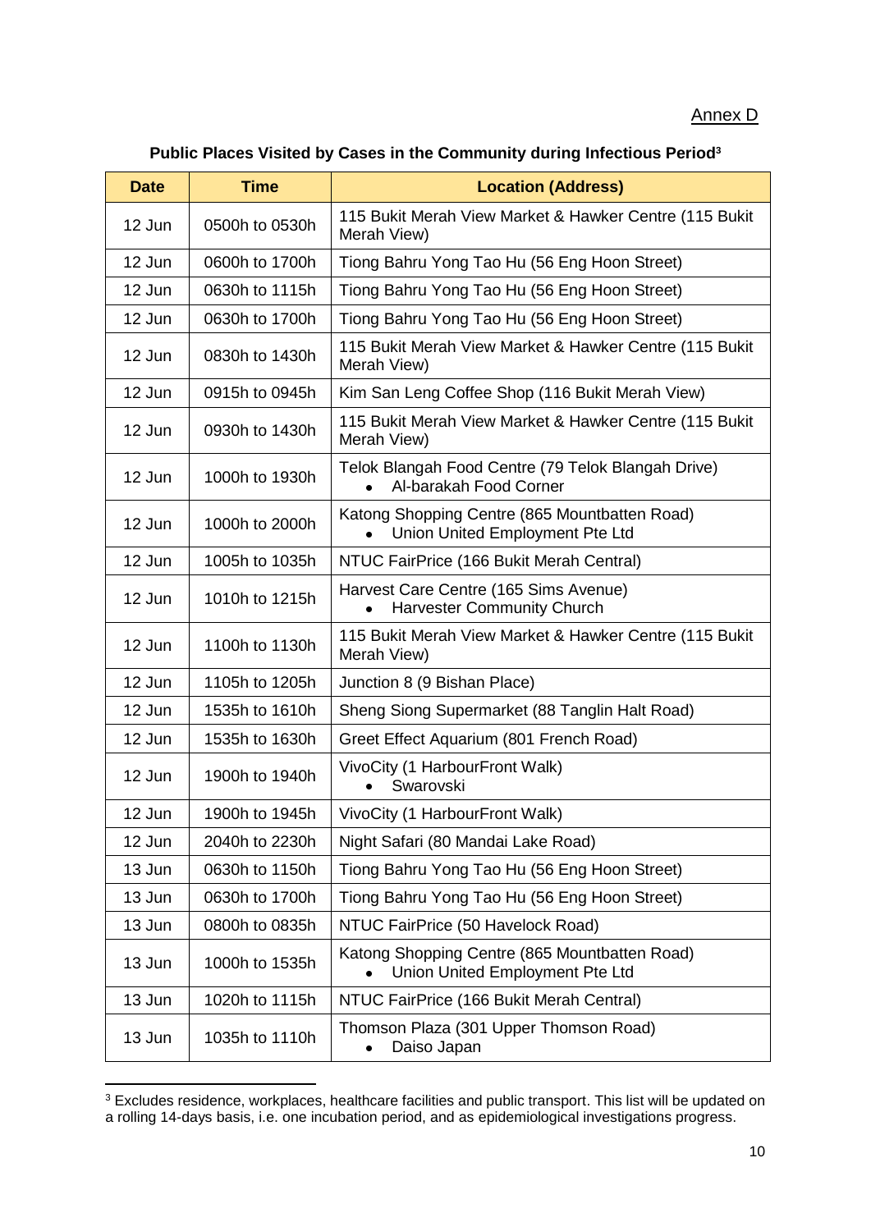#### Annex D

### **Public Places Visited by Cases in the Community during Infectious Period<sup>3</sup>**

| <b>Date</b>              | <b>Time</b>    | <b>Location (Address)</b>                                                        |  |  |
|--------------------------|----------------|----------------------------------------------------------------------------------|--|--|
| 12 Jun                   | 0500h to 0530h | 115 Bukit Merah View Market & Hawker Centre (115 Bukit<br>Merah View)            |  |  |
| 12 Jun<br>0600h to 1700h |                | Tiong Bahru Yong Tao Hu (56 Eng Hoon Street)                                     |  |  |
| 12 Jun                   | 0630h to 1115h | Tiong Bahru Yong Tao Hu (56 Eng Hoon Street)                                     |  |  |
| 12 Jun                   | 0630h to 1700h | Tiong Bahru Yong Tao Hu (56 Eng Hoon Street)                                     |  |  |
| 12 Jun                   | 0830h to 1430h | 115 Bukit Merah View Market & Hawker Centre (115 Bukit<br>Merah View)            |  |  |
| 12 Jun                   | 0915h to 0945h | Kim San Leng Coffee Shop (116 Bukit Merah View)                                  |  |  |
| 12 Jun                   | 0930h to 1430h | 115 Bukit Merah View Market & Hawker Centre (115 Bukit<br>Merah View)            |  |  |
| 12 Jun                   | 1000h to 1930h | Telok Blangah Food Centre (79 Telok Blangah Drive)<br>Al-barakah Food Corner     |  |  |
| 12 Jun                   | 1000h to 2000h | Katong Shopping Centre (865 Mountbatten Road)<br>Union United Employment Pte Ltd |  |  |
| 12 Jun                   | 1005h to 1035h | NTUC FairPrice (166 Bukit Merah Central)                                         |  |  |
| 12 Jun                   | 1010h to 1215h | Harvest Care Centre (165 Sims Avenue)<br><b>Harvester Community Church</b>       |  |  |
| 12 Jun                   | 1100h to 1130h | 115 Bukit Merah View Market & Hawker Centre (115 Bukit<br>Merah View)            |  |  |
| 12 Jun                   | 1105h to 1205h | Junction 8 (9 Bishan Place)                                                      |  |  |
| 12 Jun                   | 1535h to 1610h | Sheng Siong Supermarket (88 Tanglin Halt Road)                                   |  |  |
| 12 Jun<br>1535h to 1630h |                | Greet Effect Aquarium (801 French Road)                                          |  |  |
| 12 Jun                   | 1900h to 1940h | VivoCity (1 HarbourFront Walk)<br>Swarovski                                      |  |  |
| 12 Jun                   | 1900h to 1945h | VivoCity (1 HarbourFront Walk)                                                   |  |  |
| 12 Jun                   | 2040h to 2230h | Night Safari (80 Mandai Lake Road)                                               |  |  |
| 13 Jun                   | 0630h to 1150h | Tiong Bahru Yong Tao Hu (56 Eng Hoon Street)                                     |  |  |
| 13 Jun                   | 0630h to 1700h | Tiong Bahru Yong Tao Hu (56 Eng Hoon Street)                                     |  |  |
| 13 Jun                   | 0800h to 0835h | NTUC FairPrice (50 Havelock Road)                                                |  |  |
| 13 Jun                   | 1000h to 1535h | Katong Shopping Centre (865 Mountbatten Road)<br>Union United Employment Pte Ltd |  |  |
| 13 Jun                   | 1020h to 1115h | NTUC FairPrice (166 Bukit Merah Central)                                         |  |  |
| 13 Jun<br>1035h to 1110h |                | Thomson Plaza (301 Upper Thomson Road)<br>Daiso Japan                            |  |  |

 $^3$  Excludes residence, workplaces, healthcare facilities and public transport. This list will be updated on a rolling 14-days basis, i.e. one incubation period, and as epidemiological investigations progress.

**.**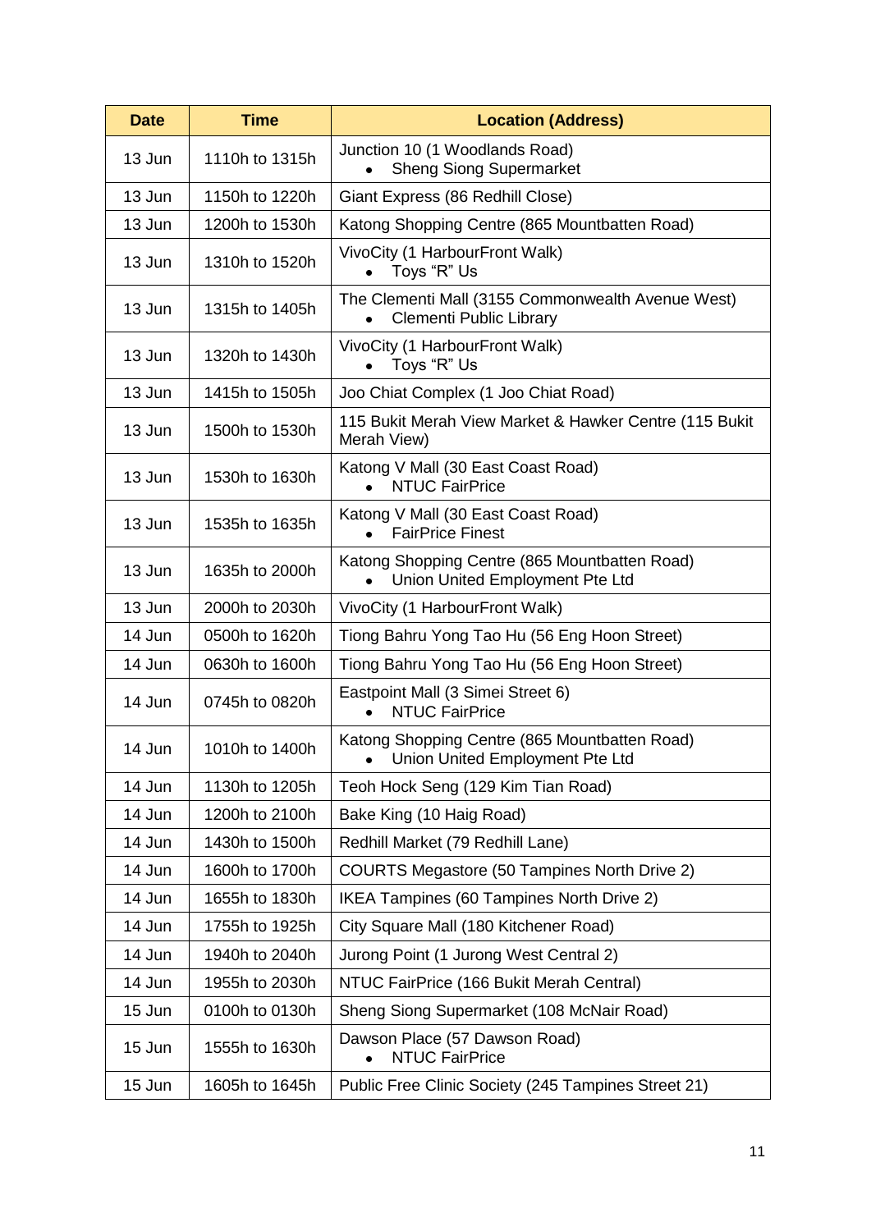| <b>Date</b><br><b>Time</b> |                | <b>Location (Address)</b>                                                           |  |  |  |
|----------------------------|----------------|-------------------------------------------------------------------------------------|--|--|--|
| 13 Jun                     | 1110h to 1315h | Junction 10 (1 Woodlands Road)<br><b>Sheng Siong Supermarket</b>                    |  |  |  |
| 13 Jun<br>1150h to 1220h   |                | Giant Express (86 Redhill Close)                                                    |  |  |  |
| 13 Jun                     | 1200h to 1530h | Katong Shopping Centre (865 Mountbatten Road)                                       |  |  |  |
| 13 Jun                     | 1310h to 1520h | VivoCity (1 HarbourFront Walk)<br>Toys "R" Us                                       |  |  |  |
| 13 Jun                     | 1315h to 1405h | The Clementi Mall (3155 Commonwealth Avenue West)<br><b>Clementi Public Library</b> |  |  |  |
| 13 Jun                     | 1320h to 1430h | VivoCity (1 HarbourFront Walk)<br>Toys "R" Us                                       |  |  |  |
| 13 Jun                     | 1415h to 1505h | Joo Chiat Complex (1 Joo Chiat Road)                                                |  |  |  |
| 13 Jun                     | 1500h to 1530h | 115 Bukit Merah View Market & Hawker Centre (115 Bukit<br>Merah View)               |  |  |  |
| 13 Jun                     | 1530h to 1630h | Katong V Mall (30 East Coast Road)<br><b>NTUC FairPrice</b>                         |  |  |  |
| 13 Jun                     | 1535h to 1635h | Katong V Mall (30 East Coast Road)<br><b>FairPrice Finest</b>                       |  |  |  |
| 13 Jun                     | 1635h to 2000h | Katong Shopping Centre (865 Mountbatten Road)<br>Union United Employment Pte Ltd    |  |  |  |
| 13 Jun                     | 2000h to 2030h | VivoCity (1 HarbourFront Walk)                                                      |  |  |  |
| 14 Jun                     | 0500h to 1620h | Tiong Bahru Yong Tao Hu (56 Eng Hoon Street)                                        |  |  |  |
| 14 Jun                     | 0630h to 1600h | Tiong Bahru Yong Tao Hu (56 Eng Hoon Street)                                        |  |  |  |
| 14 Jun                     | 0745h to 0820h | Eastpoint Mall (3 Simei Street 6)<br><b>NTUC FairPrice</b><br>$\bullet$             |  |  |  |
| 14 Jun                     | 1010h to 1400h | Katong Shopping Centre (865 Mountbatten Road)<br>Union United Employment Pte Ltd    |  |  |  |
| 14 Jun                     | 1130h to 1205h | Teoh Hock Seng (129 Kim Tian Road)                                                  |  |  |  |
| 14 Jun                     | 1200h to 2100h | Bake King (10 Haig Road)                                                            |  |  |  |
| 14 Jun                     | 1430h to 1500h | Redhill Market (79 Redhill Lane)                                                    |  |  |  |
| 14 Jun                     | 1600h to 1700h | COURTS Megastore (50 Tampines North Drive 2)                                        |  |  |  |
| 14 Jun                     | 1655h to 1830h | IKEA Tampines (60 Tampines North Drive 2)                                           |  |  |  |
| 14 Jun                     | 1755h to 1925h | City Square Mall (180 Kitchener Road)                                               |  |  |  |
| 14 Jun                     | 1940h to 2040h | Jurong Point (1 Jurong West Central 2)                                              |  |  |  |
| 14 Jun                     | 1955h to 2030h | NTUC FairPrice (166 Bukit Merah Central)                                            |  |  |  |
| 15 Jun                     | 0100h to 0130h | Sheng Siong Supermarket (108 McNair Road)                                           |  |  |  |
| 15 Jun                     | 1555h to 1630h | Dawson Place (57 Dawson Road)<br><b>NTUC FairPrice</b>                              |  |  |  |
| 15 Jun<br>1605h to 1645h   |                | Public Free Clinic Society (245 Tampines Street 21)                                 |  |  |  |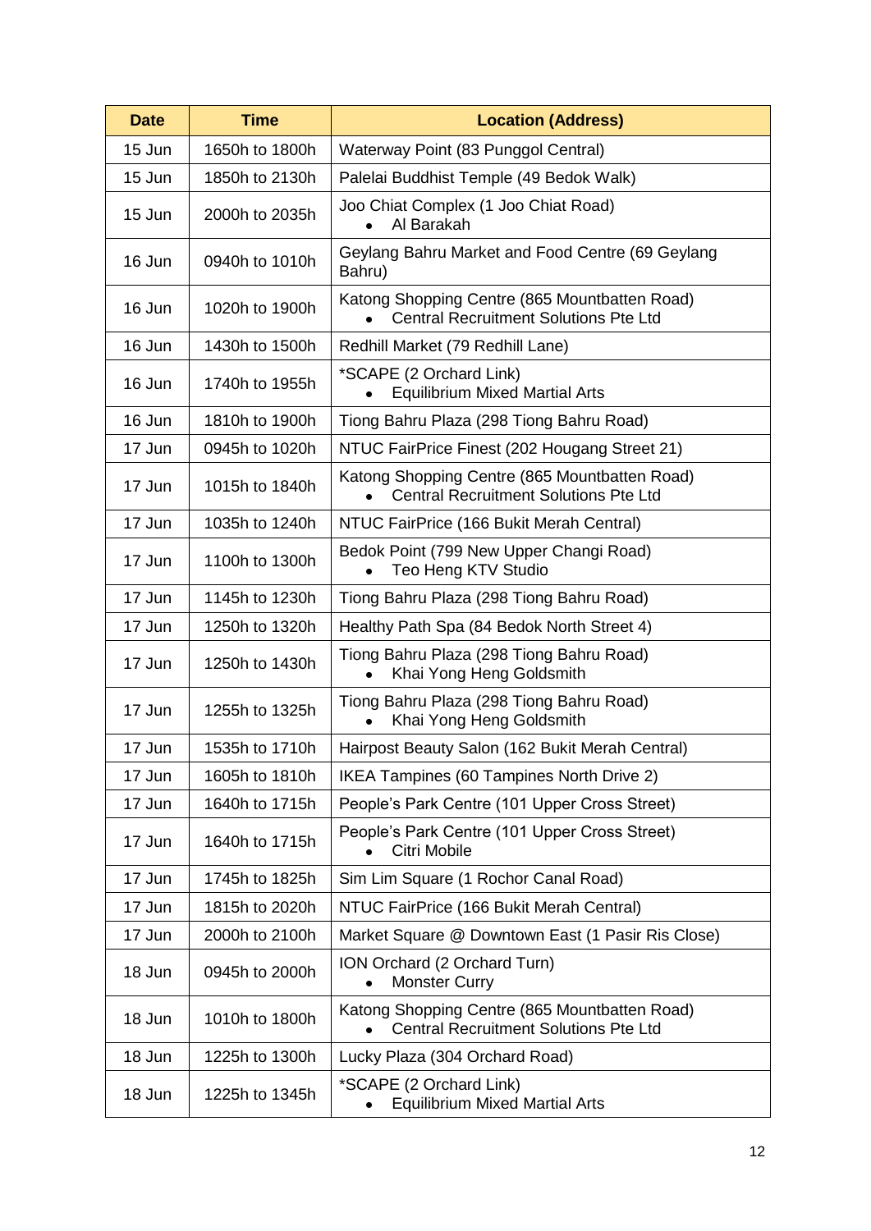| <b>Time</b><br><b>Date</b> |                | <b>Location (Address)</b>                                                                     |  |  |  |
|----------------------------|----------------|-----------------------------------------------------------------------------------------------|--|--|--|
| 15 Jun                     | 1650h to 1800h | Waterway Point (83 Punggol Central)                                                           |  |  |  |
| 15 Jun<br>1850h to 2130h   |                | Palelai Buddhist Temple (49 Bedok Walk)                                                       |  |  |  |
| 15 Jun<br>2000h to 2035h   |                | Joo Chiat Complex (1 Joo Chiat Road)<br>Al Barakah                                            |  |  |  |
| 16 Jun                     | 0940h to 1010h | Geylang Bahru Market and Food Centre (69 Geylang<br>Bahru)                                    |  |  |  |
| 16 Jun                     | 1020h to 1900h | Katong Shopping Centre (865 Mountbatten Road)<br><b>Central Recruitment Solutions Pte Ltd</b> |  |  |  |
| 16 Jun                     | 1430h to 1500h | Redhill Market (79 Redhill Lane)                                                              |  |  |  |
| 16 Jun                     | 1740h to 1955h | *SCAPE (2 Orchard Link)<br><b>Equilibrium Mixed Martial Arts</b>                              |  |  |  |
| 16 Jun                     | 1810h to 1900h | Tiong Bahru Plaza (298 Tiong Bahru Road)                                                      |  |  |  |
| 17 Jun                     | 0945h to 1020h | NTUC FairPrice Finest (202 Hougang Street 21)                                                 |  |  |  |
| 17 Jun                     | 1015h to 1840h | Katong Shopping Centre (865 Mountbatten Road)<br><b>Central Recruitment Solutions Pte Ltd</b> |  |  |  |
| 17 Jun                     | 1035h to 1240h | NTUC FairPrice (166 Bukit Merah Central)                                                      |  |  |  |
| 17 Jun                     | 1100h to 1300h | Bedok Point (799 New Upper Changi Road)<br>Teo Heng KTV Studio                                |  |  |  |
| 17 Jun                     | 1145h to 1230h | Tiong Bahru Plaza (298 Tiong Bahru Road)                                                      |  |  |  |
| 17 Jun<br>1250h to 1320h   |                | Healthy Path Spa (84 Bedok North Street 4)                                                    |  |  |  |
| 17 Jun                     | 1250h to 1430h | Tiong Bahru Plaza (298 Tiong Bahru Road)<br>Khai Yong Heng Goldsmith                          |  |  |  |
| 17 Jun<br>1255h to 1325h   |                | Tiong Bahru Plaza (298 Tiong Bahru Road)<br>Khai Yong Heng Goldsmith                          |  |  |  |
| 17 Jun                     | 1535h to 1710h | Hairpost Beauty Salon (162 Bukit Merah Central)                                               |  |  |  |
| 17 Jun                     | 1605h to 1810h | IKEA Tampines (60 Tampines North Drive 2)                                                     |  |  |  |
| 17 Jun                     | 1640h to 1715h | People's Park Centre (101 Upper Cross Street)                                                 |  |  |  |
| 17 Jun                     | 1640h to 1715h | People's Park Centre (101 Upper Cross Street)<br>Citri Mobile                                 |  |  |  |
| 17 Jun                     | 1745h to 1825h | Sim Lim Square (1 Rochor Canal Road)                                                          |  |  |  |
| 17 Jun                     | 1815h to 2020h | NTUC FairPrice (166 Bukit Merah Central)                                                      |  |  |  |
| 17 Jun                     | 2000h to 2100h | Market Square @ Downtown East (1 Pasir Ris Close)                                             |  |  |  |
| 18 Jun                     | 0945h to 2000h | ION Orchard (2 Orchard Turn)<br><b>Monster Curry</b>                                          |  |  |  |
| 18 Jun                     | 1010h to 1800h | Katong Shopping Centre (865 Mountbatten Road)<br><b>Central Recruitment Solutions Pte Ltd</b> |  |  |  |
| 18 Jun<br>1225h to 1300h   |                | Lucky Plaza (304 Orchard Road)                                                                |  |  |  |
| 18 Jun                     | 1225h to 1345h | *SCAPE (2 Orchard Link)<br><b>Equilibrium Mixed Martial Arts</b>                              |  |  |  |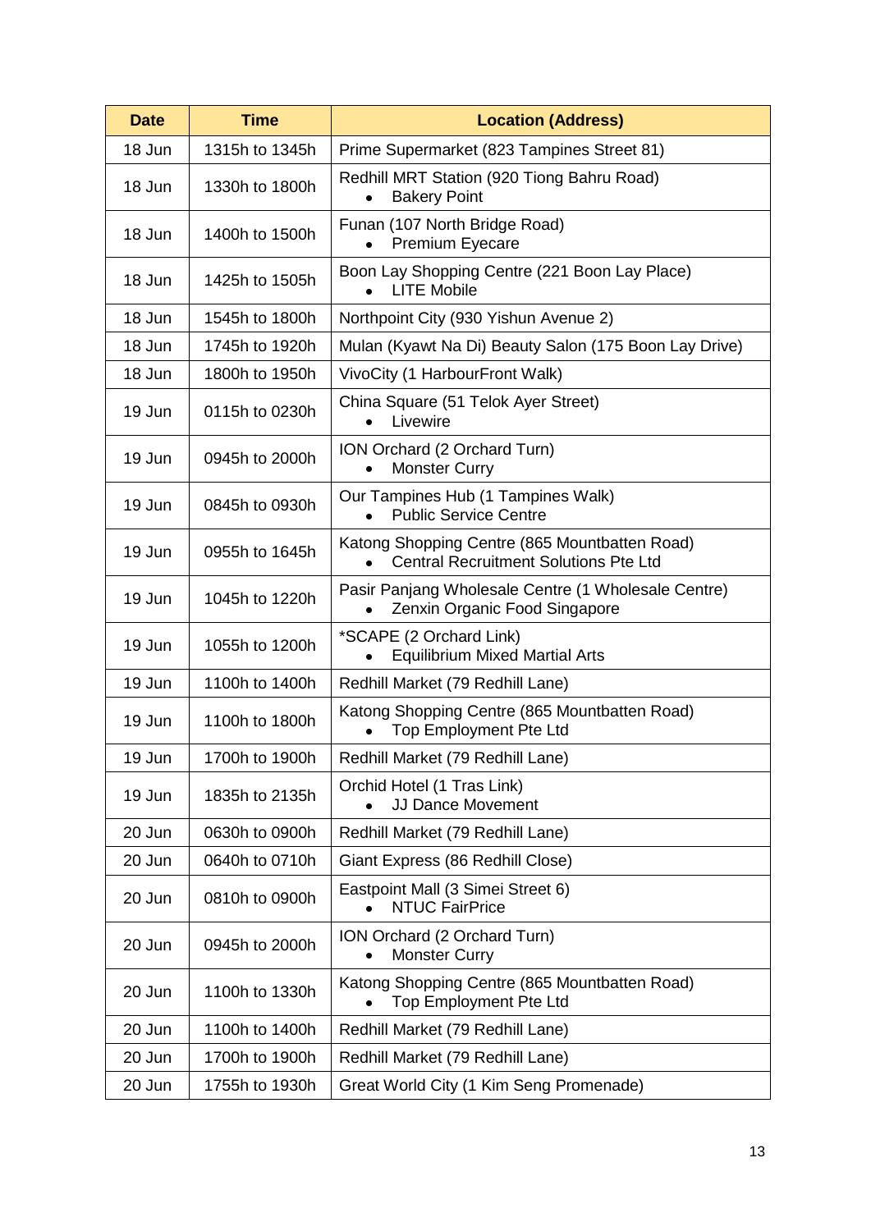| <b>Date</b>              | <b>Time</b>    | <b>Location (Address)</b>                                                                     |  |  |  |
|--------------------------|----------------|-----------------------------------------------------------------------------------------------|--|--|--|
| 18 Jun                   | 1315h to 1345h | Prime Supermarket (823 Tampines Street 81)                                                    |  |  |  |
| 18 Jun<br>1330h to 1800h |                | Redhill MRT Station (920 Tiong Bahru Road)<br><b>Bakery Point</b><br>$\bullet$                |  |  |  |
| 18 Jun<br>1400h to 1500h |                | Funan (107 North Bridge Road)<br><b>Premium Eyecare</b>                                       |  |  |  |
| 18 Jun                   | 1425h to 1505h | Boon Lay Shopping Centre (221 Boon Lay Place)<br><b>LITE Mobile</b><br>$\bullet$              |  |  |  |
| 18 Jun                   | 1545h to 1800h | Northpoint City (930 Yishun Avenue 2)                                                         |  |  |  |
| 18 Jun                   | 1745h to 1920h | Mulan (Kyawt Na Di) Beauty Salon (175 Boon Lay Drive)                                         |  |  |  |
| 18 Jun                   | 1800h to 1950h | VivoCity (1 HarbourFront Walk)                                                                |  |  |  |
| 19 Jun                   | 0115h to 0230h | China Square (51 Telok Ayer Street)<br>Livewire                                               |  |  |  |
| 19 Jun                   | 0945h to 2000h | ION Orchard (2 Orchard Turn)<br><b>Monster Curry</b>                                          |  |  |  |
| 19 Jun                   | 0845h to 0930h | Our Tampines Hub (1 Tampines Walk)<br><b>Public Service Centre</b>                            |  |  |  |
| 19 Jun                   | 0955h to 1645h | Katong Shopping Centre (865 Mountbatten Road)<br><b>Central Recruitment Solutions Pte Ltd</b> |  |  |  |
| 19 Jun                   | 1045h to 1220h | Pasir Panjang Wholesale Centre (1 Wholesale Centre)<br>Zenxin Organic Food Singapore          |  |  |  |
| 19 Jun                   | 1055h to 1200h | *SCAPE (2 Orchard Link)<br><b>Equilibrium Mixed Martial Arts</b>                              |  |  |  |
| 19 Jun                   | 1100h to 1400h | Redhill Market (79 Redhill Lane)                                                              |  |  |  |
| 19 Jun                   | 1100h to 1800h | Katong Shopping Centre (865 Mountbatten Road)<br>Top Employment Pte Ltd                       |  |  |  |
| 19 Jun                   | 1700h to 1900h | Redhill Market (79 Redhill Lane)                                                              |  |  |  |
| 19 Jun                   | 1835h to 2135h | Orchid Hotel (1 Tras Link)<br><b>JJ Dance Movement</b>                                        |  |  |  |
| 20 Jun                   | 0630h to 0900h | Redhill Market (79 Redhill Lane)                                                              |  |  |  |
| 20 Jun                   | 0640h to 0710h | Giant Express (86 Redhill Close)                                                              |  |  |  |
| 20 Jun                   | 0810h to 0900h | Eastpoint Mall (3 Simei Street 6)<br><b>NTUC FairPrice</b>                                    |  |  |  |
| 20 Jun                   | 0945h to 2000h | ION Orchard (2 Orchard Turn)<br><b>Monster Curry</b>                                          |  |  |  |
| 20 Jun                   | 1100h to 1330h | Katong Shopping Centre (865 Mountbatten Road)<br><b>Top Employment Pte Ltd</b>                |  |  |  |
| 20 Jun                   | 1100h to 1400h | Redhill Market (79 Redhill Lane)                                                              |  |  |  |
| 20 Jun                   | 1700h to 1900h | Redhill Market (79 Redhill Lane)                                                              |  |  |  |
| 20 Jun                   | 1755h to 1930h | Great World City (1 Kim Seng Promenade)                                                       |  |  |  |